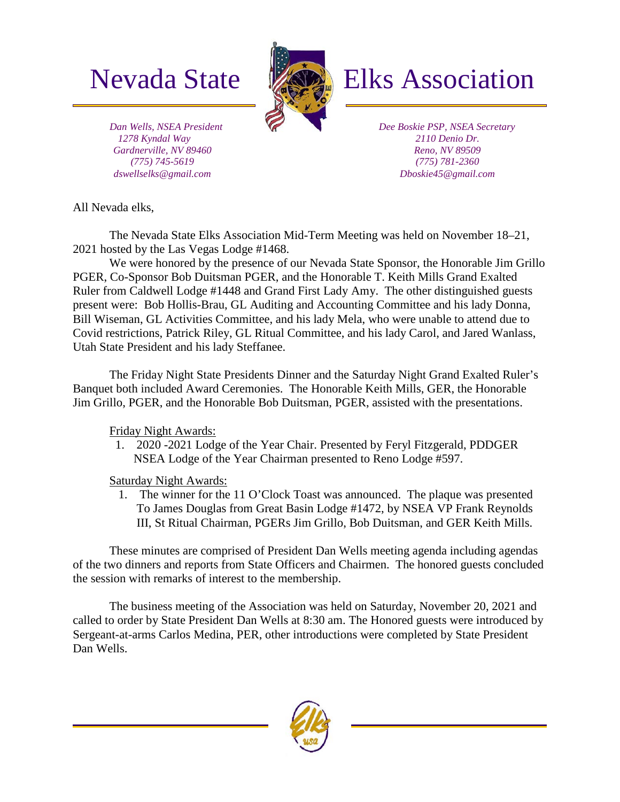

# Nevada State **Elks** Elks Association

 *Dan Wells, NSEA President 1278 Kyndal Way Gardnerville, NV 89460 (775) 745-5619 dswellselks@gmail.com*

 *Dee Boskie PSP, NSEA Secretary 2110 Denio Dr. Reno, NV 89509 (775) 781-2360 Dboskie45@gmail.com*

All Nevada elks,

The Nevada State Elks Association Mid-Term Meeting was held on November 18–21, 2021 hosted by the Las Vegas Lodge #1468.

We were honored by the presence of our Nevada State Sponsor, the Honorable Jim Grillo PGER, Co-Sponsor Bob Duitsman PGER, and the Honorable T. Keith Mills Grand Exalted Ruler from Caldwell Lodge #1448 and Grand First Lady Amy. The other distinguished guests present were: Bob Hollis-Brau, GL Auditing and Accounting Committee and his lady Donna, Bill Wiseman, GL Activities Committee, and his lady Mela, who were unable to attend due to Covid restrictions, Patrick Riley, GL Ritual Committee, and his lady Carol, and Jared Wanlass, Utah State President and his lady Steffanee.

The Friday Night State Presidents Dinner and the Saturday Night Grand Exalted Ruler's Banquet both included Award Ceremonies. The Honorable Keith Mills, GER, the Honorable Jim Grillo, PGER, and the Honorable Bob Duitsman, PGER, assisted with the presentations.

Friday Night Awards:

1. 2020 -2021 Lodge of the Year Chair. Presented by Feryl Fitzgerald, PDDGER NSEA Lodge of the Year Chairman presented to Reno Lodge #597.

Saturday Night Awards:

1. The winner for the 11 O'Clock Toast was announced. The plaque was presented To James Douglas from Great Basin Lodge #1472, by NSEA VP Frank Reynolds III, St Ritual Chairman, PGERs Jim Grillo, Bob Duitsman, and GER Keith Mills.

These minutes are comprised of President Dan Wells meeting agenda including agendas of the two dinners and reports from State Officers and Chairmen. The honored guests concluded the session with remarks of interest to the membership.

The business meeting of the Association was held on Saturday, November 20, 2021 and called to order by State President Dan Wells at 8:30 am. The Honored guests were introduced by Sergeant-at-arms Carlos Medina, PER, other introductions were completed by State President Dan Wells.

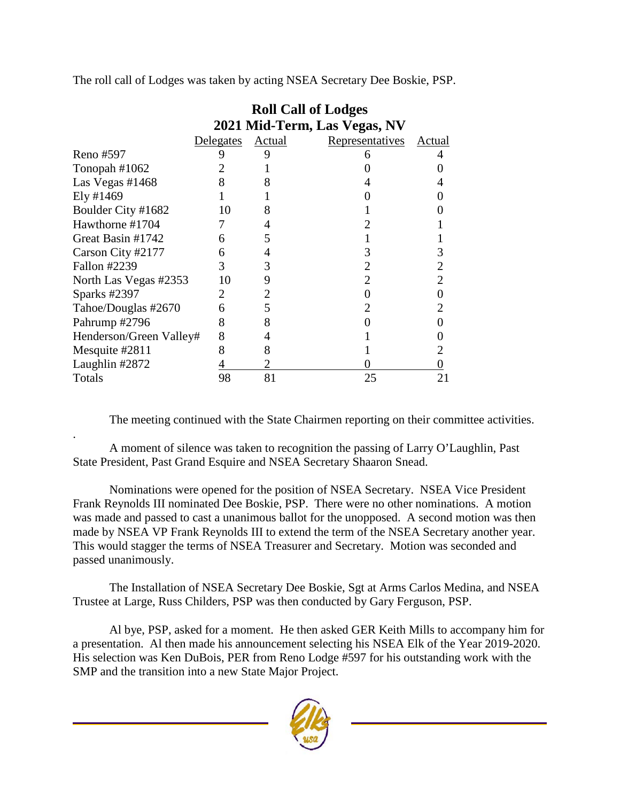The roll call of Lodges was taken by acting NSEA Secretary Dee Boskie, PSP.

|                         | <b>Roll Call of Lodges</b>   |        |                 |        |
|-------------------------|------------------------------|--------|-----------------|--------|
|                         | 2021 Mid-Term, Las Vegas, NV |        |                 |        |
|                         | Delegates                    | Actual | Representatives | Actual |
| Reno #597               | 9                            | 9      |                 |        |
| Tonopah #1062           |                              |        |                 |        |
| Las Vegas #1468         | 8                            | 8      |                 |        |
| Ely #1469               |                              |        |                 |        |
| Boulder City #1682      | 10                           | 8      |                 |        |
| Hawthorne #1704         |                              |        |                 |        |
| Great Basin #1742       | 6                            | 5      |                 |        |
| Carson City #2177       | 6                            |        | 3               | 3      |
| Fallon #2239            | 3                            | 3      | 2               | 2      |
| North Las Vegas #2353   | 10                           | 9      | 2               | 2      |
| Sparks #2397            | $\mathcal{D}_{\cdot}$        |        |                 |        |
| Tahoe/Douglas #2670     | 6                            | 5      | 2               |        |
| Pahrump #2796           | 8                            | 8      |                 |        |
| Henderson/Green Valley# | 8                            |        |                 |        |
| Mesquite #2811          | 8                            | 8      |                 |        |
| Laughlin #2872          |                              |        |                 |        |
| Totals                  | 98                           | 81     | 25              |        |

The meeting continued with the State Chairmen reporting on their committee activities.

. A moment of silence was taken to recognition the passing of Larry O'Laughlin, Past State President, Past Grand Esquire and NSEA Secretary Shaaron Snead.

Nominations were opened for the position of NSEA Secretary. NSEA Vice President Frank Reynolds III nominated Dee Boskie, PSP. There were no other nominations. A motion was made and passed to cast a unanimous ballot for the unopposed. A second motion was then made by NSEA VP Frank Reynolds III to extend the term of the NSEA Secretary another year. This would stagger the terms of NSEA Treasurer and Secretary. Motion was seconded and passed unanimously.

The Installation of NSEA Secretary Dee Boskie, Sgt at Arms Carlos Medina, and NSEA Trustee at Large, Russ Childers, PSP was then conducted by Gary Ferguson, PSP.

Al bye, PSP, asked for a moment. He then asked GER Keith Mills to accompany him for a presentation. Al then made his announcement selecting his NSEA Elk of the Year 2019-2020. His selection was Ken DuBois, PER from Reno Lodge #597 for his outstanding work with the SMP and the transition into a new State Major Project.

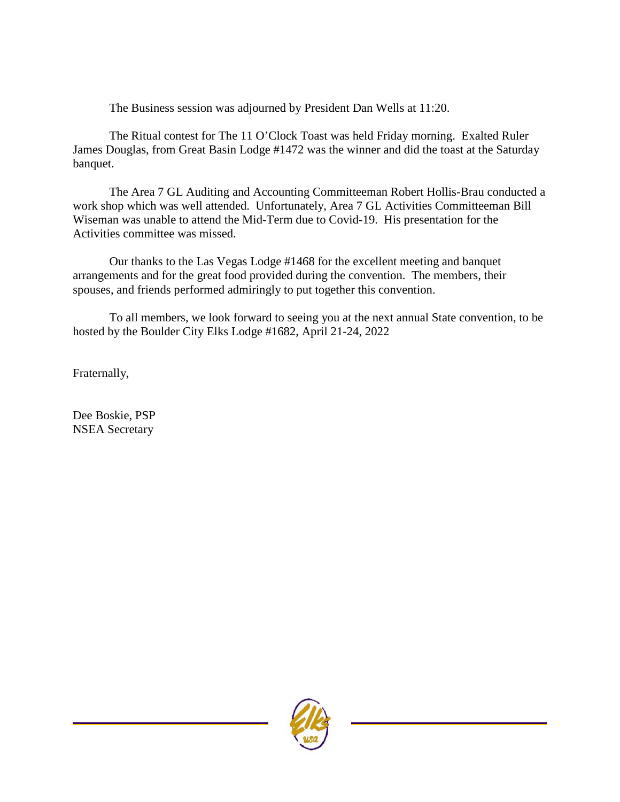The Business session was adjourned by President Dan Wells at 11:20.

The Ritual contest for The 11 O'Clock Toast was held Friday morning. Exalted Ruler James Douglas, from Great Basin Lodge #1472 was the winner and did the toast at the Saturday banquet.

The Area 7 GL Auditing and Accounting Committeeman Robert Hollis-Brau conducted a work shop which was well attended. Unfortunately, Area 7 GL Activities Committeeman Bill Wiseman was unable to attend the Mid-Term due to Covid-19. His presentation for the Activities committee was missed.

Our thanks to the Las Vegas Lodge #1468 for the excellent meeting and banquet arrangements and for the great food provided during the convention. The members, their spouses, and friends performed admiringly to put together this convention.

To all members, we look forward to seeing you at the next annual State convention, to be hosted by the Boulder City Elks Lodge #1682, April 21-24, 2022

Fraternally,

Dee Boskie, PSP NSEA Secretary

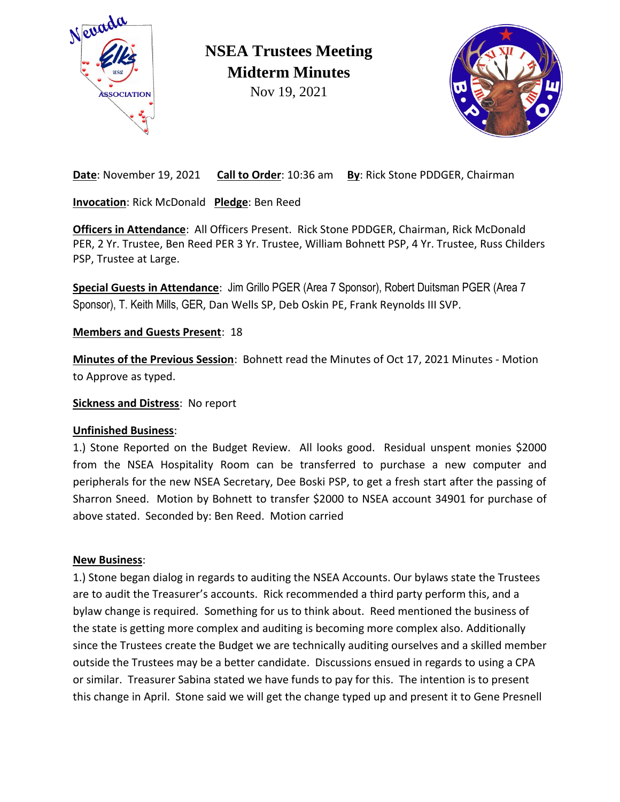

**NSEA Trustees Meeting Midterm Minutes**

Nov 19, 2021



**Date**: November 19, 2021 **Call to Order**: 10:36 am **By**: Rick Stone PDDGER, Chairman

**Invocation**: Rick McDonald **Pledge**: Ben Reed

**Officers in Attendance**: All Officers Present. Rick Stone PDDGER, Chairman, Rick McDonald PER, 2 Yr. Trustee, Ben Reed PER 3 Yr. Trustee, William Bohnett PSP, 4 Yr. Trustee, Russ Childers PSP, Trustee at Large.

**Special Guests in Attendance**: Jim Grillo PGER (Area 7 Sponsor), Robert Duitsman PGER (Area 7 Sponsor), T. Keith Mills, GER, Dan Wells SP, Deb Oskin PE, Frank Reynolds III SVP.

**Members and Guests Present**: 18

**Minutes of the Previous Session**: Bohnett read the Minutes of Oct 17, 2021 Minutes - Motion to Approve as typed.

**Sickness and Distress**: No report

### **Unfinished Business**:

1.) Stone Reported on the Budget Review. All looks good. Residual unspent monies \$2000 from the NSEA Hospitality Room can be transferred to purchase a new computer and peripherals for the new NSEA Secretary, Dee Boski PSP, to get a fresh start after the passing of Sharron Sneed. Motion by Bohnett to transfer \$2000 to NSEA account 34901 for purchase of above stated. Seconded by: Ben Reed. Motion carried

#### **New Business**:

1.) Stone began dialog in regards to auditing the NSEA Accounts. Our bylaws state the Trustees are to audit the Treasurer's accounts. Rick recommended a third party perform this, and a bylaw change is required. Something for us to think about. Reed mentioned the business of the state is getting more complex and auditing is becoming more complex also. Additionally since the Trustees create the Budget we are technically auditing ourselves and a skilled member outside the Trustees may be a better candidate. Discussions ensued in regards to using a CPA or similar. Treasurer Sabina stated we have funds to pay for this. The intention is to present this change in April. Stone said we will get the change typed up and present it to Gene Presnell